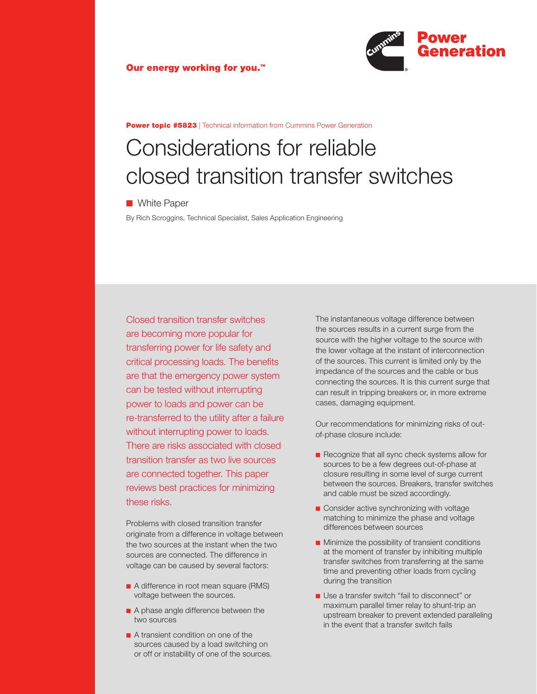



**Power topic #5823** | Technical information from Cummins Power Generation

# Considerations for reliable closed transition transfer switches

■ White Paper

By Rich Scroggins, Technical Specialist, Sales Application Engineering

Closed transition transfer switches are becoming more popular for transferring power for life safety and critical processing loads. The benefits are that the emergency power system can be tested without interrupting power to loads and power can be re-transferred to the utility after a failure without interrupting power to loads. There are risks associated with closed transition transfer as two live sources are connected together. This paper reviews best practices for minimizing these risks.

Problems with closed transition transfer originate from a difference in voltage between the two sources at the instant when the two sources are connected. The difference in voltage can be caused by several factors:

- A difference in root mean square (RMS) voltage between the sources.
- A phase angle difference between the two sources
- A transient condition on one of the sources caused by a load switching on or off or instability of one of the sources.

The instantaneous voltage difference between the sources results in a current surge from the source with the higher voltage to the source with the lower voltage at the instant of interconnection of the sources. This current is limited only by the impedance of the sources and the cable or bus connecting the sources. It is this current surge that can result in tripping breakers or, in more extreme cases, damaging equipment.

Our recommendations for minimizing risks of outof-phase closure include:

- Recognize that all sync check systems allow for sources to be a few degrees out-of-phase at closure resulting in some level of surge current between the sources. Breakers, transfer switches and cable must be sized accordingly.
- Consider active synchronizing with voltage matching to minimize the phase and voltage differences between sources
- $\blacksquare$  Minimize the possibility of transient conditions at the moment of transfer by inhibiting multiple transfer switches from transferring at the same time and preventing other loads from cycling during the transition
- Use a transfer switch "fail to disconnect" or maximum parallel timer relay to shunt-trip an upstream breaker to prevent extended paralleling in the event that a transfer switch fails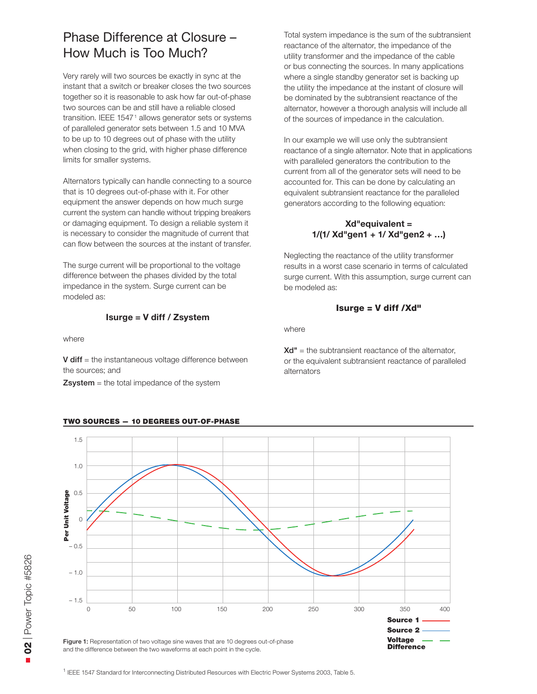### Phase Difference at Closure – How Much is Too Much?

Very rarely will two sources be exactly in sync at the instant that a switch or breaker closes the two sources together so it is reasonable to ask how far out-of-phase two sources can be and still have a reliable closed transition. IEEE 1547<sup>1</sup> allows generator sets or systems of paralleled generator sets between 1.5 and 10 MVA to be up to 10 degrees out of phase with the utility when closing to the grid, with higher phase difference limits for smaller systems.

Alternators typically can handle connecting to a source that is 10 degrees out-of-phase with it. For other equipment the answer depends on how much surge current the system can handle without tripping breakers or damaging equipment. To design a reliable system it is necessary to consider the magnitude of current that can flow between the sources at the instant of transfer.

The surge current will be proportional to the voltage difference between the phases divided by the total impedance in the system. Surge current can be modeled as:

### **Isurge = V diff / Zsystem**

where

 $V$  diff  $=$  the instantaneous voltage difference between the sources; and

 $Zsystem =$  the total impedance of the system

#### TWO SOURCES — 10 DEGREES OUT-OF-PHASE

Total system impedance is the sum of the subtransient reactance of the alternator, the impedance of the utility transformer and the impedance of the cable or bus connecting the sources. In many applications where a single standby generator set is backing up the utility the impedance at the instant of closure will be dominated by the subtransient reactance of the alternator, however a thorough analysis will include all of the sources of impedance in the calculation.

In our example we will use only the subtransient reactance of a single alternator. Note that in applications with paralleled generators the contribution to the current from all of the generator sets will need to be accounted for. This can be done by calculating an equivalent subtransient reactance for the paralleled generators according to the following equation:

### **Xd"equivalent = 1/(1/ Xd"gen1 + 1/ Xd"gen2 + …)**

Neglecting the reactance of the utility transformer results in a worst case scenario in terms of calculated surge current. With this assumption, surge current can be modeled as:

#### Isurge = V diff /Xd"

where

 $Xd'' =$  the subtransient reactance of the alternator. or the equivalent subtransient reactance of paralleled alternators



<sup>1</sup> IEEE 1547 Standard for Interconnecting Distributed Resources with Electric Power Systems 2003, Table 5.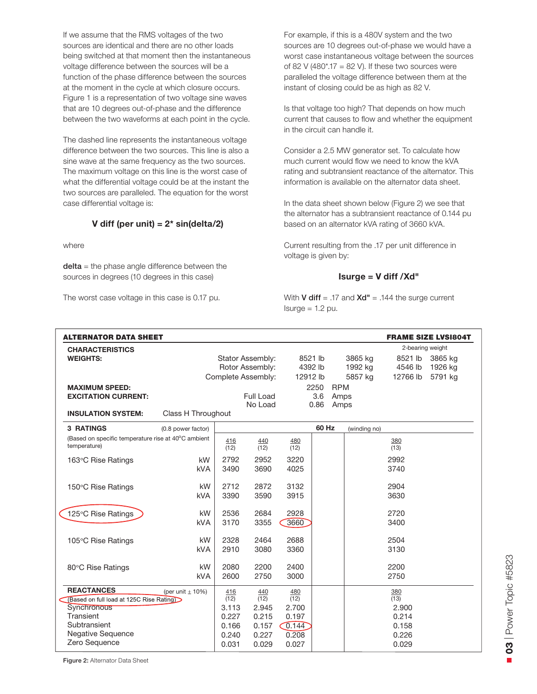If we assume that the RMS voltages of the two sources are identical and there are no other loads being switched at that moment then the instantaneous voltage difference between the sources will be a function of the phase difference between the sources at the moment in the cycle at which closure occurs. Figure 1 is a representation of two voltage sine waves that are 10 degrees out-of-phase and the difference between the two waveforms at each point in the cycle.

The dashed line represents the instantaneous voltage difference between the two sources. This line is also a sine wave at the same frequency as the two sources. The maximum voltage on this line is the worst case of what the differential voltage could be at the instant the two sources are paralleled. The equation for the worst case differential voltage is:

### **V diff (per unit) = 2\* sin(delta/2)**

where

 $delta$  = the phase angle difference between the sources in degrees (10 degrees in this case)

The worst case voltage in this case is 0.17 pu.

For example, if this is a 480V system and the two sources are 10 degrees out-of-phase we would have a worst case instantaneous voltage between the sources of 82 V (480\*.17 = 82 V). If these two sources were paralleled the voltage difference between them at the instant of closing could be as high as 82 V.

Is that voltage too high? That depends on how much current that causes to flow and whether the equipment in the circuit can handle it.

Consider a 2.5 MW generator set. To calculate how much current would flow we need to know the kVA rating and subtransient reactance of the alternator. This information is available on the alternator data sheet.

In the data sheet shown below (Figure 2) we see that the alternator has a subtransient reactance of 0.144 pu based on an alternator kVA rating of 3660 kVA.

Current resulting from the .17 per unit difference in voltage is given by:

### **Isurge = V diff /Xd"**

With **V diff** = .17 and  $Xd'' = .144$  the surge current  $Isurge = 1.2 pu$ .

| <b>ALTERNATOR DATA SHEET</b>                        |                      | <b>FRAME SIZE LVSI804T</b> |                  |             |          |                  |         |             |         |
|-----------------------------------------------------|----------------------|----------------------------|------------------|-------------|----------|------------------|---------|-------------|---------|
| <b>CHARACTERISTICS</b>                              |                      |                            |                  |             |          | 2-bearing weight |         |             |         |
| <b>WEIGHTS:</b>                                     |                      | Stator Assembly:           |                  | 8521 lb     |          |                  | 3865 kg | 8521 lb     | 3865 kg |
|                                                     |                      | Rotor Assembly:            |                  |             | 4392 lb  |                  | 1992 kg | 4546 lb     | 1926 kg |
|                                                     |                      | Complete Assembly:         |                  |             | 12912 lb |                  | 5857 kg | 12766 lb    | 5791 kg |
| <b>MAXIMUM SPEED:</b>                               |                      |                            |                  |             | 2250     | <b>RPM</b>       |         |             |         |
| <b>EXCITATION CURRENT:</b>                          |                      |                            | <b>Full Load</b> |             | 3.6      | Amps             |         |             |         |
| <b>INSULATION SYSTEM:</b>                           | Class H Throughout   |                            | No Load          |             | 0.86     | Amps             |         |             |         |
| <b>3 RATINGS</b>                                    | (0.8 power factor)   | 60 Hz<br>(winding no)      |                  |             |          |                  |         |             |         |
| (Based on specific temperature rise at 40°C ambient |                      | 416                        | 440              | 480         |          |                  |         | 380         |         |
| temperature)                                        |                      | (12)                       | (12)             | (12)        |          |                  |         | (13)        |         |
| 163°C Rise Ratings                                  | kW                   | 2792                       | 2952             | 3220        |          |                  |         | 2992        |         |
|                                                     | <b>kVA</b>           | 3490                       | 3690             | 4025        |          |                  |         | 3740        |         |
|                                                     |                      |                            |                  |             |          |                  |         |             |         |
| 150°C Rise Ratings                                  | kW                   | 2712                       | 2872             | 3132        |          |                  |         | 2904        |         |
|                                                     | <b>kVA</b>           | 3390                       | 3590             | 3915        |          |                  |         | 3630        |         |
| 125°C Rise Ratings                                  | kW                   | 2536                       | 2684             | 2928        |          |                  |         | 2720        |         |
|                                                     | <b>kVA</b>           | 3170                       | 3355             | 3660        |          |                  |         | 3400        |         |
|                                                     |                      |                            |                  |             |          |                  |         |             |         |
| 105°C Rise Ratings                                  | kW                   | 2328                       | 2464             | 2688        |          |                  |         | 2504        |         |
|                                                     | <b>kVA</b>           | 2910                       | 3080             | 3360        |          |                  |         | 3130        |         |
| 80°C Rise Ratings                                   | kW                   | 2080                       | 2200             | 2400        |          |                  |         | 2200        |         |
|                                                     | <b>kVA</b>           | 2600                       | 2750             | 3000        |          |                  |         | 2750        |         |
| <b>REACTANCES</b>                                   |                      |                            |                  |             |          |                  |         |             |         |
| (Based on full load at 125C Rise Rating)            | (per unit $\pm$ 10%) | 416<br>(12)                | 440<br>(12)      | 480<br>(12) |          |                  |         | 380<br>(13) |         |
| Synchronous                                         |                      | 3.113                      | 2.945            | 2.700       |          |                  |         | 2.900       |         |
| Transient                                           |                      | 0.227                      | 0.215            | 0.197       |          |                  |         | 0.214       |         |
| Subtransient                                        |                      | 0.166                      | 0.157            | 0.144       |          |                  |         | 0.158       |         |
| <b>Negative Sequence</b>                            |                      | 0.240                      | 0.227            | 0.208       |          |                  |         | 0.226       |         |
| Zero Sequence                                       |                      | 0.031                      | 0.029            | 0.027       |          |                  |         | 0.029       |         |

**Figure 2:** Alternator Data Sheet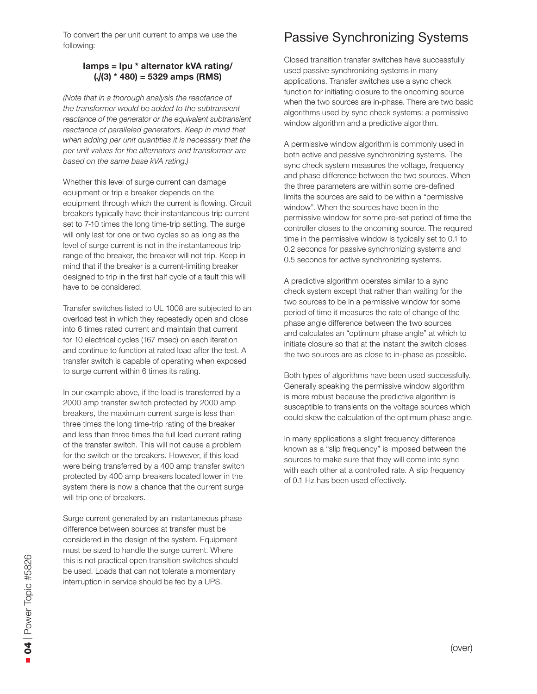To convert the per unit current to amps we use the following:

### **Iamps = Ipu \* alternator kVA rating/ (√(3) \* 480) = 5329 amps (RMS)**

*(Note that in a thorough analysis the reactance of the transformer would be added to the subtransient reactance of the generator or the equivalent subtransient reactance of paralleled generators. Keep in mind that when adding per unit quantities it is necessary that the per unit values for the alternators and transformer are based on the same base kVA rating.)*

Whether this level of surge current can damage equipment or trip a breaker depends on the equipment through which the current is flowing. Circuit breakers typically have their instantaneous trip current set to 7-10 times the long time-trip setting. The surge will only last for one or two cycles so as long as the level of surge current is not in the instantaneous trip range of the breaker, the breaker will not trip. Keep in mind that if the breaker is a current-limiting breaker designed to trip in the first half cycle of a fault this will have to be considered.

Transfer switches listed to UL 1008 are subjected to an overload test in which they repeatedly open and close into 6 times rated current and maintain that current for 10 electrical cycles (167 msec) on each iteration and continue to function at rated load after the test. A transfer switch is capable of operating when exposed to surge current within 6 times its rating.

In our example above, if the load is transferred by a 2000 amp transfer switch protected by 2000 amp breakers, the maximum current surge is less than three times the long time-trip rating of the breaker and less than three times the full load current rating of the transfer switch. This will not cause a problem for the switch or the breakers. However, if this load were being transferred by a 400 amp transfer switch protected by 400 amp breakers located lower in the system there is now a chance that the current surge will trip one of breakers.

Surge current generated by an instantaneous phase difference between sources at transfer must be considered in the design of the system. Equipment must be sized to handle the surge current. Where this is not practical open transition switches should be used. Loads that can not tolerate a momentary interruption in service should be fed by a UPS.

### Passive Synchronizing Systems

Closed transition transfer switches have successfully used passive synchronizing systems in many applications. Transfer switches use a sync check function for initiating closure to the oncoming source when the two sources are in-phase. There are two basic algorithms used by sync check systems: a permissive window algorithm and a predictive algorithm.

A permissive window algorithm is commonly used in both active and passive synchronizing systems. The sync check system measures the voltage, frequency and phase difference between the two sources. When the three parameters are within some pre-defined limits the sources are said to be within a "permissive window". When the sources have been in the permissive window for some pre-set period of time the controller closes to the oncoming source. The required time in the permissive window is typically set to 0.1 to 0.2 seconds for passive synchronizing systems and 0.5 seconds for active synchronizing systems.

A predictive algorithm operates similar to a sync check system except that rather than waiting for the two sources to be in a permissive window for some period of time it measures the rate of change of the phase angle difference between the two sources and calculates an "optimum phase angle" at which to initiate closure so that at the instant the switch closes the two sources are as close to in-phase as possible.

Both types of algorithms have been used successfully. Generally speaking the permissive window algorithm is more robust because the predictive algorithm is susceptible to transients on the voltage sources which could skew the calculation of the optimum phase angle.

In many applications a slight frequency difference known as a "slip frequency" is imposed between the sources to make sure that they will come into sync with each other at a controlled rate. A slip frequency of 0.1 Hz has been used effectively.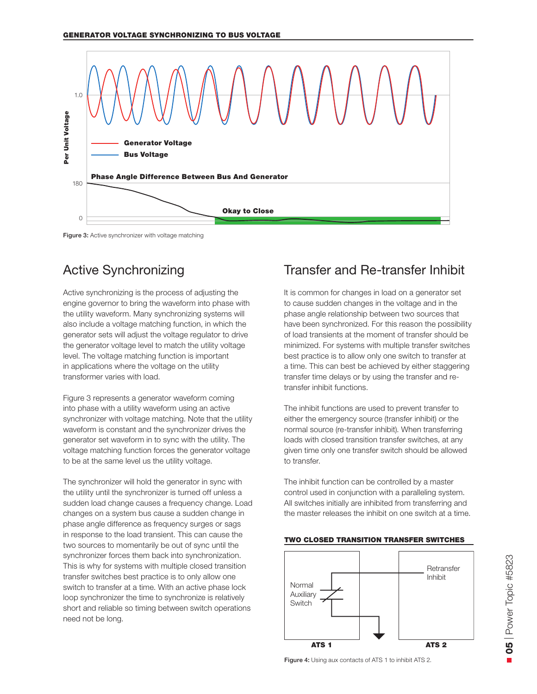

#### Figure 3: Active synchronizer with voltage matching

### Active Synchronizing

Active synchronizing is the process of adjusting the engine governor to bring the waveform into phase with the utility waveform. Many synchronizing systems will also include a voltage matching function, in which the generator sets will adjust the voltage regulator to drive the generator voltage level to match the utility voltage level. The voltage matching function is important in applications where the voltage on the utility transformer varies with load.

Figure 3 represents a generator waveform coming into phase with a utility waveform using an active synchronizer with voltage matching. Note that the utility waveform is constant and the synchronizer drives the generator set waveform in to sync with the utility. The voltage matching function forces the generator voltage to be at the same level us the utility voltage.

The synchronizer will hold the generator in sync with the utility until the synchronizer is turned off unless a sudden load change causes a frequency change. Load changes on a system bus cause a sudden change in phase angle difference as frequency surges or sags in response to the load transient. This can cause the two sources to momentarily be out of sync until the synchronizer forces them back into synchronization. This is why for systems with multiple closed transition transfer switches best practice is to only allow one switch to transfer at a time. With an active phase lock loop synchronizer the time to synchronize is relatively short and reliable so timing between switch operations need not be long.

### Transfer and Re-transfer Inhibit

It is common for changes in load on a generator set to cause sudden changes in the voltage and in the phase angle relationship between two sources that have been synchronized. For this reason the possibility of load transients at the moment of transfer should be minimized. For systems with multiple transfer switches best practice is to allow only one switch to transfer at a time. This can best be achieved by either staggering transfer time delays or by using the transfer and retransfer inhibit functions.

The inhibit functions are used to prevent transfer to either the emergency source (transfer inhibit) or the normal source (re-transfer inhibit). When transferring loads with closed transition transfer switches, at any given time only one transfer switch should be allowed to transfer.

The inhibit function can be controlled by a master control used in conjunction with a paralleling system. All switches initially are inhibited from transferring and the master releases the inhibit on one switch at a time.

#### TWO CLOSED TRANSITION TRANSFER SWITCHES